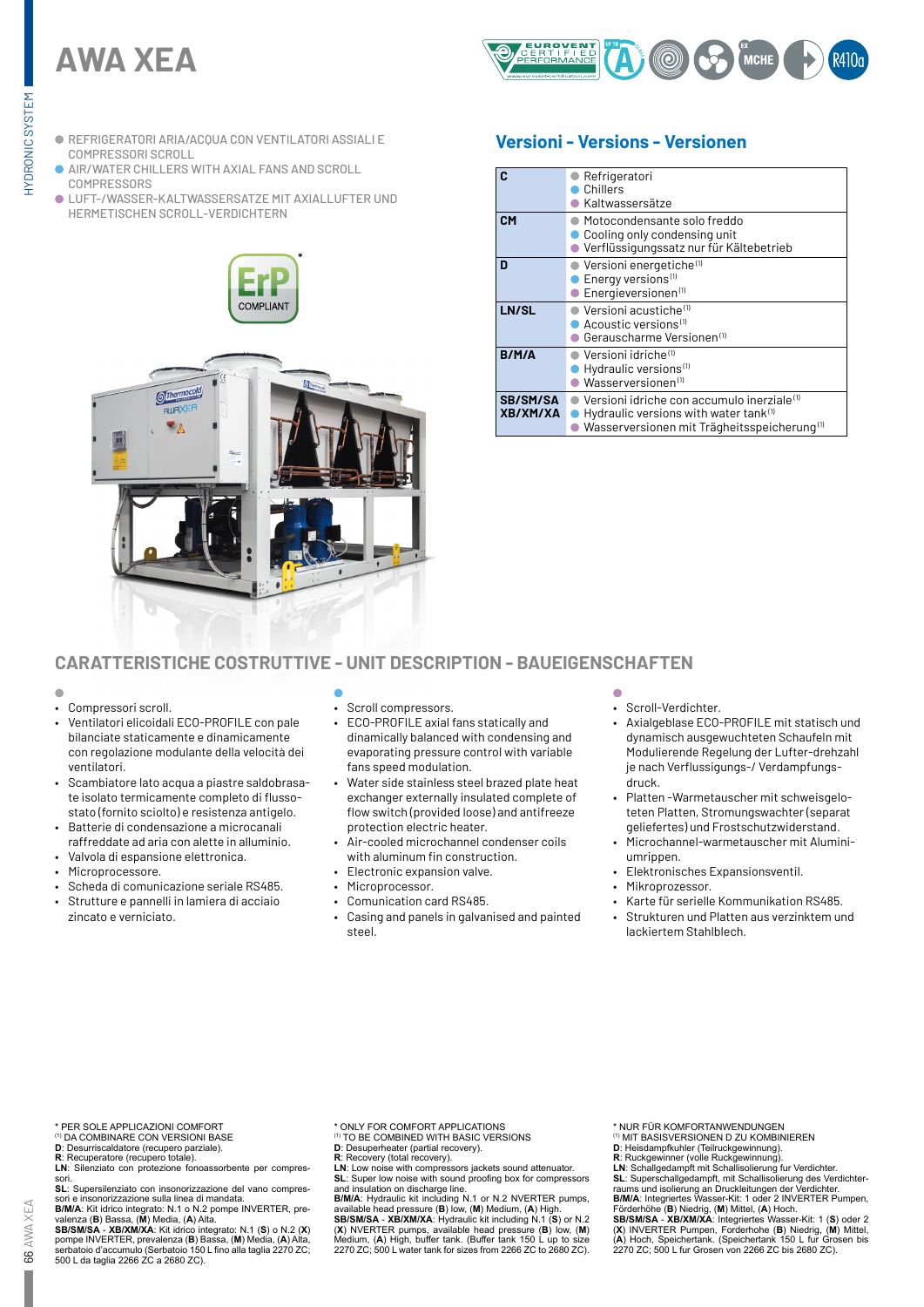# **AWA XEA**



- REFRIGERATORI ARIA/ACQUA CON VENTILATORI ASSIALI E COMPRESSORI SCROLL
- AIR/WATER CHILLERS WITH AXIAL FANS AND SCROLL **COMPRESSORS**
- LUFT-/WASSER-KALTWASSERSATZE MIT AXIALLUFTER UND HERMETISCHEN SCROLL-VERDICHTERN

\*



# **Versioni - Versions - Versionen**

|                             | Refrigeratori<br>Chillers<br>Kaltwassersätze                                                                                                                           |
|-----------------------------|------------------------------------------------------------------------------------------------------------------------------------------------------------------------|
| <b>CM</b>                   | Motocondensante solo freddo<br>Cooling only condensing unit<br>Verflüssigungssatz nur für Kältebetrieb                                                                 |
| n                           | Versioni energetiche <sup>(1)</sup><br>Energy versions <sup>(1)</sup><br>Energieversionen <sup>(1)</sup>                                                               |
| LN/SL                       | Versioni acustiche <sup>(1)</sup><br>Acoustic versions <sup>(1)</sup><br>● Gerauscharme Versionen(1)                                                                   |
| B/M/A                       | ) Versioni idriche™<br>Hydraulic versions <sup>(1)</sup><br>$\bullet$ Wasserversionen <sup>(1)</sup>                                                                   |
| <b>SB/SM/SA</b><br>XB/XM/XA | Versioni idriche con accumulo inerziale <sup>(1)</sup><br>Hydraulic versions with water tank <sup>(1)</sup><br>Wasserversionen mit Trägheitsspeicherung <sup>(1)</sup> |

# **CARATTERISTICHE COSTRUTTIVE - UNIT DESCRIPTION - BAUEIGENSCHAFTEN**

- Compressori scroll.
- Ventilatori elicoidali ECO-PROFILE con pale bilanciate staticamente e dinamicamente con regolazione modulante della velocità dei ventilatori.
- Scambiatore lato acqua a piastre saldobrasate isolato termicamente completo di flussostato (fornito sciolto) e resistenza antigelo.
- Batterie di condensazione a microcanali raffreddate ad aria con alette in alluminio.
- Valvola di espansione elettronica.
- Microprocessore.
- Scheda di comunicazione seriale RS485.
- Strutture e pannelli in lamiera di acciaio zincato e verniciato.
- 
- Scroll compressors.
- ECO-PROFILE axial fans statically and dinamically balanced with condensing and evaporating pressure control with variable fans speed modulation.
- Water side stainless steel brazed plate heat exchanger externally insulated complete of flow switch (provided loose) and antifreeze protection electric heater.
- Air-cooled microchannel condenser coils with aluminum fin construction.
- Electronic expansion valve.
- Microprocessor.
- Comunication card RS485.
- Casing and panels in galvanised and painted steel.

- Scroll-Verdichter.
- Axialgeblase ECO-PROFILE mit statisch und dynamisch ausgewuchteten Schaufeln mit Modulierende Regelung der Lufter-drehzahl je nach Verflussigungs-/ Verdampfungsdruck.
- Platten -Warmetauscher mit schweisgeloteten Platten, Stromungswachter (separat geliefertes) und Frostschutzwiderstand.
- Microchannel-warmetauscher mit Aluminiumrippen.
- Elektronisches Expansionsventil.
- Mikroprozessor.
- Karte für serielle Kommunikation RS485.
- Strukturen und Platten aus verzinktem und lackiertem Stahlblech.

\* PER SOLE APPLICAZIONI COMFORT

- (1) DA COMBINARE CON VERSIONI BASE
- **D**: Desurriscaldatore (recupero parziale). **R**: Recuperatore (recupero totale).
- **LN**: Silenziato con protezione fonoassorbente per compres-

sori.

**SL**: Supersilenziato con insonorizzazione del vano compres-sori e insonorizzazione sulla linea di mandata.

**B/M/A**: Kit idrico integrato: N.1 o N.2 pompe INVERTER, prevalenza (B) Bassa, (M) Media, (A) Alta.<br>SB/SM/SA - XB/XM/XA: Kit idrico integrato: N.1 (S) o N.2 (X)<br>SB/SM/SA - XB/XM/XA: Kit idrico integrato: N.1 (S) o N.2 (X)<br>

- \* ONLY FOR COMFORT APPLICATIONS (1) TO BE COMBINED WITH BASIC VERSIONS
- 
- **D**: Desuperheater (partial recovery). **R**: Recovery (total recovery).

**LN**: Low noise with compressors jackets sound attenuator.<br>**SL**: Super low noise with sound proofing box for compressors

**SL:** Super low noise with sound proofing box for compressors<br>and insulation on discharge line.<br>**BIMIA**: Hydraulic kit including N.1 or N.2 NVERTER pumps,<br>available head pressure (B) low, (M) Medium, (A) High.<br>SB/SMISA -

\* NUR FÜR KOMFORTANWENDUNGEN (1) MIT BASISVERSIONEN D ZU KOMBINIEREN

- 
- 

D: Heisdampfkuhler (Teilruckgewinnung).<br>R: Ruckgewinner (volle Ruckgewinnung).<br>LN: Schallgedampft mit Schallisolierung fur Verdichter.<br>SL: Superschallgedampft, mit Schallisolierung des Verdichter-<br>raums und isolierung an D

Förderhöhe (B) Niedrig, (M) Mittel, (A) Hoch.<br>SB/SM/SA - XB/XM/XA: Integriertes Wasser-Kit: 1 (S) oder 2<br>(X) INVERTER Pumpen, Forderhohe (B) Niedrig, (M) Mittel,<br>(A) Hoch, Speichertank. (Speichertank 150 L fur Grosen bis<br>2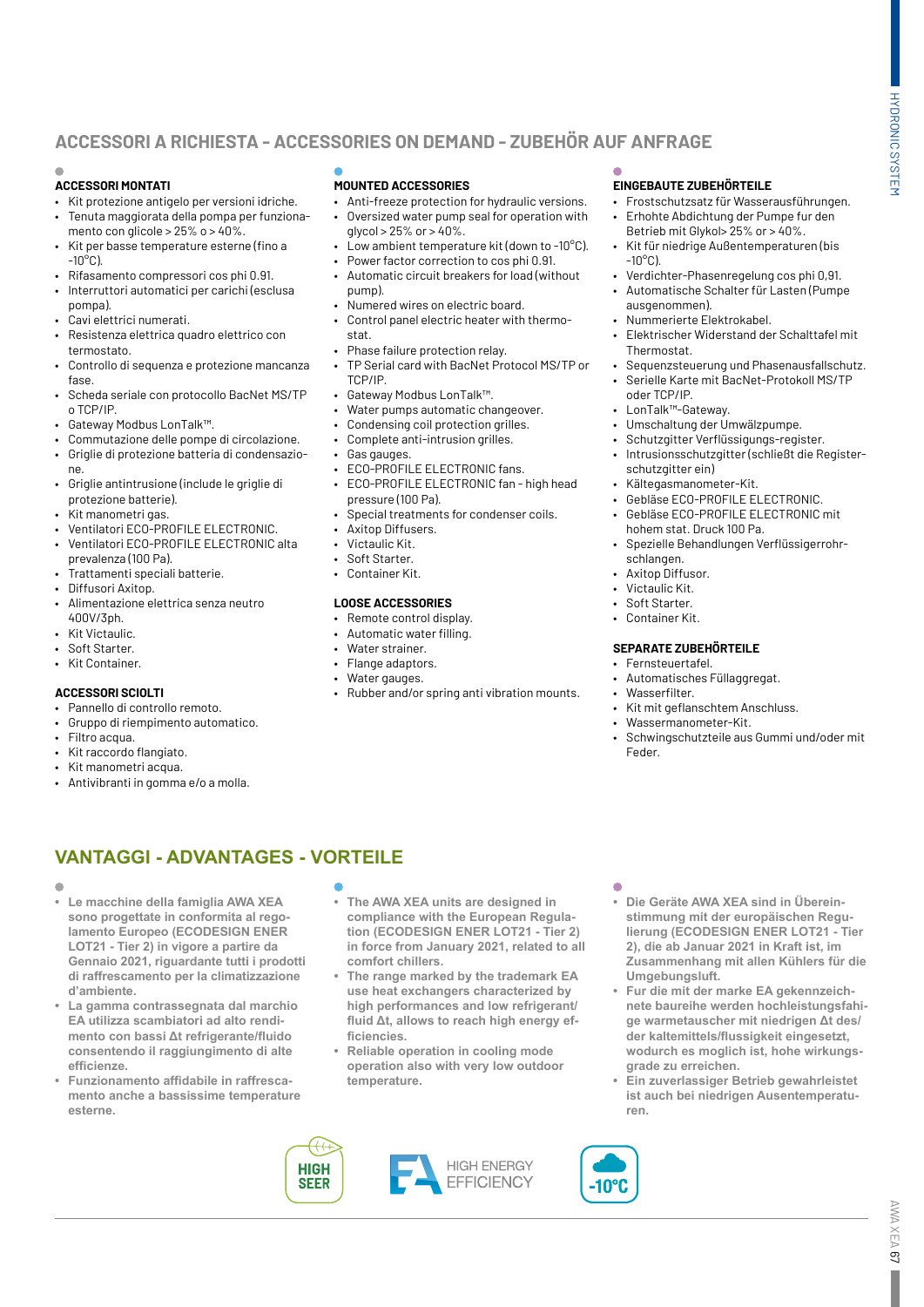# **ACCESSORI A RICHIESTA - ACCESSORIES ON DEMAND - ZUBEHÖR AUF ANFRAGE**

#### **ACCESSORI MONTATI**

- Kit protezione antigelo per versioni idriche. • Tenuta maggiorata della pompa per funziona-
- mento con glicole >  $25\%$  o >  $40\%$ . • Kit per basse temperature esterne (fino a
- $-10^{\circ}$ C). • Rifasamento compressori cos phi 0.91.
- Interruttori automatici per carichi (esclusa
- pompa).
- Cavi elettrici numerati.
- Resistenza elettrica quadro elettrico con termostato.
- Controllo di sequenza e protezione mancanza fase.
- Scheda seriale con protocollo BacNet MS/TP o TCP/IP.
- Gateway Modbus LonTalk™.
- Commutazione delle pompe di circolazione. • Griglie di protezione batteria di condensazione.
- Griglie antintrusione (include le griglie di protezione batterie).
- .<br>Kit manometri gas.
- Ventilatori ECO-PROFILE ELECTRONIC.
- Ventilatori ECO-PROFILE ELECTRONIC alta prevalenza (100 Pa).
- Trattamenti speciali batterie.
- Diffusori Axitop.
- Alimentazione elettrica senza neutro 400V/3ph.
- Kit Victaulic.
- Soft Starter.
- Kit Container.

#### **ACCESSORI SCIOLTI**

- Pannello di controllo remoto.
- Gruppo di riempimento automatico.
- Filtro acqua.
- Kit raccordo flangiato.
- Kit manometri acqua.
- Antivibranti in gomma e/o a molla.

### **MOUNTED ACCESSORIES**

- Anti-freeze protection for hydraulic versions.
- Oversized water pump seal for operation with  $a$  alvcol > 25% or > 40%.
- Low ambient temperature kit (down to -10°C).
- Power factor correction to cos phi 0.91.
- Automatic circuit breakers for load (without pump).
- Numered wires on electric board. • Control panel electric heater with thermo
	- stat. • Phase failure protection relay.
- TP Serial card with BacNet Protocol MS/TP or TCP/IP.
- Gateway Modbus LonTalk™.
- Water pumps automatic changeover.
- Condensing coil protection grilles.
- Complete anti-intrusion grilles.
- Gas gauges.
- ECO-PROFILE ELECTRONIC fans. • ECO-PROFILE ELECTRONIC fan - high head
- pressure (100 Pa).
- Special treatments for condenser coils.
- Aviton Diffusers
- Victaulic Kit.
- Soft Starter.
- Container Kit.

#### **LOOSE ACCESSORIES**

- Remote control display.
- Automatic water filling.
- Water strainer.
	- Flange adaptors.
	- Water gauges.
	- Rubber and/or spring anti vibration mounts.

### **EINGEBAUTE ZUBEHÖRTEILE**

- Frostschutzsatz für Wasserausführungen. • Erhohte Abdichtung der Pumpe fur den
- Betrieb mit Glykol> 25% or > 40%. • Kit für niedrige Außentemperaturen (bis  $-10^{\circ}$ C).
- Verdichter-Phasenregelung cos phi 0,91.
- Automatische Schalter für Lasten (Pumpe ausgenommen).
- Nummerierte Elektrokabel.
- Elektrischer Widerstand der Schalttafel mit Thermostat.
- Sequenzsteuerung und Phasenausfallschutz.
- Serielle Karte mit BacNet-Protokoll MS/TP oder TCP/IP.
- LonTalk™-Gateway.
- Umschaltung der Umwälzpumpe.
- Schutzgitter Verflüssigungs-register.
- Intrusionsschutzgitter (schließt die Registerschutzgitter ein)
- Kältegasmanometer-Kit.
- Gebläse ECO-PROFILE ELECTRONIC.
- Gebläse ECO-PROFILE ELECTRONIC mit hohem stat. Druck 100 Pa.
- Spezielle Behandlungen Verflüssigerrohrschlangen.
- Axitop Diffusor.
- Victaulic Kit.
- Soft Starter.
- Container Kit.

#### **SEPARATE ZUBEHÖRTEILE**

- Fernsteuertafel.
- Automatisches Füllaggregat.
- Wasserfilter.
	- Kit mit geflanschtem Anschluss.
	- Wassermanometer-Kit.
	- Schwingschutzteile aus Gummi und/oder mit Feder.

# **VANTAGGI - ADVANTAGES - VORTEILE**

#### $\blacksquare$

- **• Le macchine della famiglia AWA XEA sono progettate in conformita al regolamento Europeo (ECODESIGN ENER LOT21 - Tier 2) in vigore a partire da Gennaio 2021, riguardante tutti i prodotti di raffrescamento per la climatizzazione d'ambiente.**
- **• La gamma contrassegnata dal marchio EA utilizza scambiatori ad alto rendimento con bassi Δt refrigerante/fluido consentendo il raggiungimento di alte efficienze.**
- **• Funzionamento affidabile in raffrescamento anche a bassissime temperature esterne.**

**HIGH** 

**SFFR** 

- **• The AWA XEA units are designed in compliance with the European Regulation (ECODESIGN ENER LOT21 - Tier 2) in force from January 2021, related to all comfort chillers.**
- **• The range marked by the trademark EA use heat exchangers characterized by high performances and low refrigerant/ fluid Δt, allows to reach high energy efficiencies.**
- **• Reliable operation in cooling mode operation also with very low outdoor temperature.**

**HIGH ENERGY** 

**EFFICIENCY** 

٠

10°C

- **• Die Geräte AWA XEA sind in Übereinstimmung mit der europäischen Regulierung (ECODESIGN ENER LOT21 - Tier 2), die ab Januar 2021 in Kraft ist, im Zusammenhang mit allen Kühlers für die Umgebungsluft.**
- **• Fur die mit der marke EA gekennzeichnete baureihe werden hochleistungsfahige warmetauscher mit niedrigen Δt des/ der kaltemittels/flussigkeit eingesetzt, wodurch es moglich ist, hohe wirkungsgrade zu erreichen.**
- **• Ein zuverlassiger Betrieb gewahrleistet ist auch bei niedrigen Ausentemperaturen.**

AWA XEA 67

AWA XEA 67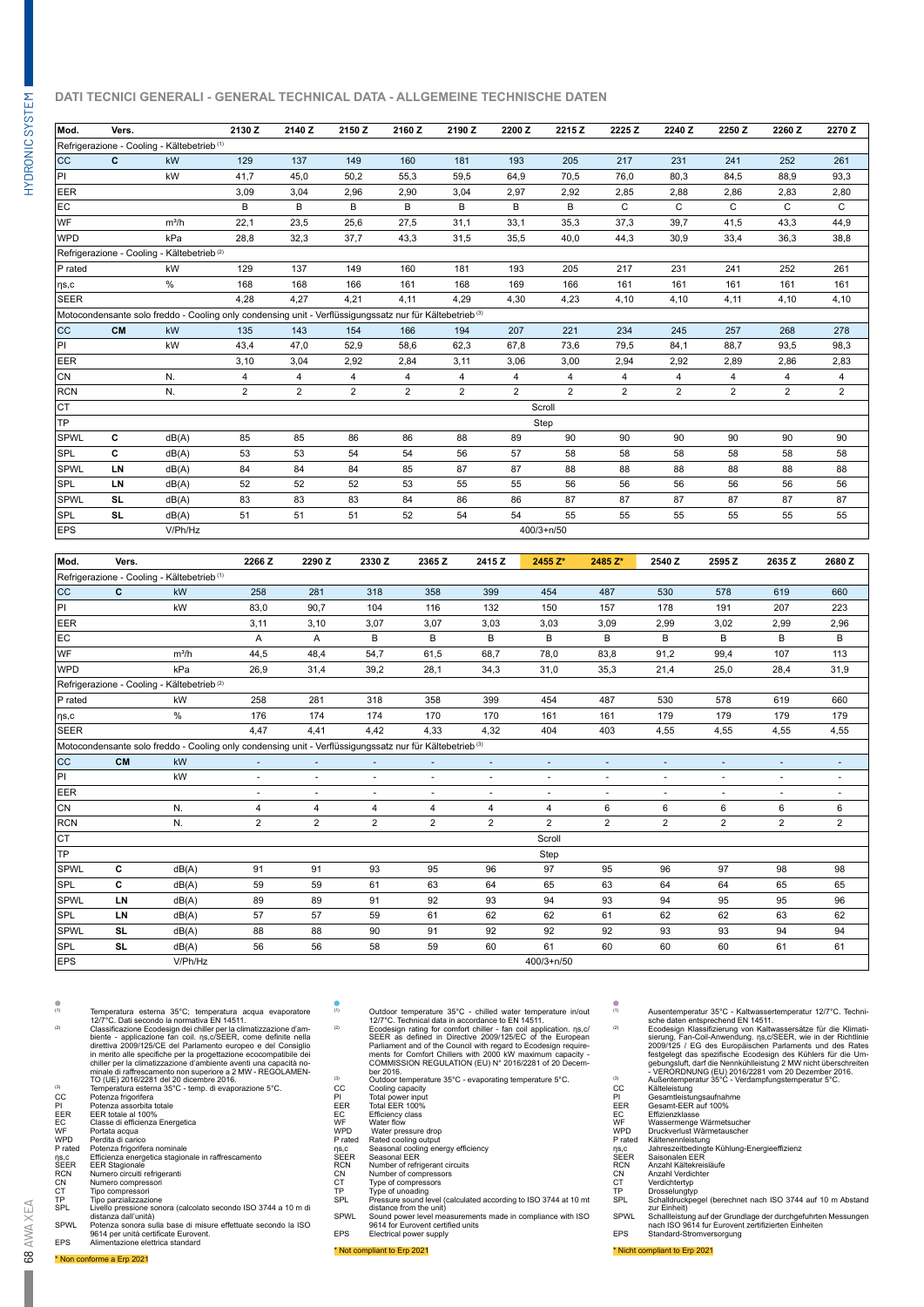#### **DATI TECNICI GENERALI - GENERAL TECHNICAL DATA - ALLGEMEINE TECHNISCHE DATEN**

| Mod.                | Vers.     |                                                                                                                     | 2130Z          | 2140 Z         | 2150 Z         | 2160 Z         | 2190 Z         | 2200 Z         | 2215 Z         | 2225 Z         | 2240 Z         | 2250 Z         | 2260Z          | 2270 Z         |
|---------------------|-----------|---------------------------------------------------------------------------------------------------------------------|----------------|----------------|----------------|----------------|----------------|----------------|----------------|----------------|----------------|----------------|----------------|----------------|
|                     |           | Refrigerazione - Cooling - Kältebetrieb <sup>(1)</sup>                                                              |                |                |                |                |                |                |                |                |                |                |                |                |
| <b>CC</b>           | C         | kW                                                                                                                  | 129            | 137            | 149            | 160            | 181            | 193            | 205            | 217            | 231            | 241            | 252            | 261            |
| PI                  |           | kW                                                                                                                  | 41.7           | 45,0           | 50,2           | 55,3           | 59.5           | 64,9           | 70.5           | 76.0           | 80,3           | 84,5           | 88.9           | 93,3           |
| <b>EER</b>          |           |                                                                                                                     | 3.09           | 3,04           | 2.96           | 2,90           | 3.04           | 2,97           | 2.92           | 2,85           | 2,88           | 2,86           | 2,83           | 2,80           |
| EC                  |           |                                                                                                                     | B              | B              | B              | B              | B              | B              | B              | C              | C              | C              | C              | C              |
| WF                  |           | $m^3/h$                                                                                                             | 22,1           | 23,5           | 25,6           | 27,5           | 31,1           | 33,1           | 35,3           | 37,3           | 39,7           | 41,5           | 43,3           | 44,9           |
| WPD                 |           | kPa                                                                                                                 | 28,8           | 32,3           | 37,7           | 43,3           | 31,5           | 35,5           | 40,0           | 44,3           | 30,9           | 33,4           | 36,3           | 38,8           |
|                     |           | Refrigerazione - Cooling - Kältebetrieb <sup>(2)</sup>                                                              |                |                |                |                |                |                |                |                |                |                |                |                |
| $ P \text{ rated} $ |           | kW                                                                                                                  | 129            | 137            | 149            | 160            | 181            | 193            | 205            | 217            | 231            | 241            | 252            | 261            |
| $  \eta$ s,c        |           | $\%$                                                                                                                | 168            | 168            | 166            | 161            | 168            | 169            | 166            | 161            | 161            | 161            | 161            | 161            |
| <b>SEER</b>         |           |                                                                                                                     | 4.28           | 4.27           | 4.21           | 4,11           | 4.29           | 4,30           | 4.23           | 4,10           | 4.10           | 4,11           | 4,10           | 4,10           |
|                     |           | Motocondensante solo freddo - Cooling only condensing unit - Verflüssigungssatz nur für Kältebetrieb <sup>(3)</sup> |                |                |                |                |                |                |                |                |                |                |                |                |
| <b>CC</b>           | <b>CM</b> | kW                                                                                                                  | 135            | 143            | 154            | 166            | 194            | 207            | 221            | 234            | 245            | 257            | 268            | 278            |
| PI                  |           | kW                                                                                                                  | 43,4           | 47.0           | 52.9           | 58.6           | 62.3           | 67.8           | 73.6           | 79.5           | 84,1           | 88.7           | 93,5           | 98,3           |
| <b>EER</b>          |           |                                                                                                                     | 3,10           | 3,04           | 2.92           | 2,84           | 3, 11          | 3,06           | 3,00           | 2,94           | 2,92           | 2,89           | 2,86           | 2,83           |
| CN                  |           | N.                                                                                                                  | 4              | $\overline{4}$ | $\overline{4}$ | 4              | $\overline{4}$ | $\overline{4}$ | $\overline{4}$ | $\overline{4}$ | $\overline{4}$ | $\overline{4}$ | $\overline{4}$ | 4              |
| <b>RCN</b>          |           | N.                                                                                                                  | $\overline{2}$ | 2              | $\overline{2}$ | $\overline{2}$ | $\overline{2}$ | 2              | $\overline{2}$ | $\overline{2}$ | $\overline{2}$ | $\overline{2}$ | $\overline{2}$ | $\overline{2}$ |
| Iст                 |           |                                                                                                                     |                |                |                |                |                |                | Scroll         |                |                |                |                |                |
| TP                  |           |                                                                                                                     |                |                |                |                |                |                | Step           |                |                |                |                |                |
| <b>SPWL</b>         | C         | dB(A)                                                                                                               | 85             | 85             | 86             | 86             | 88             | 89             | 90             | 90             | 90             | 90             | 90             | 90             |
| <b>SPL</b>          | C         | dB(A)                                                                                                               | 53             | 53             | 54             | 54             | 56             | 57             | 58             | 58             | 58             | 58             | 58             | 58             |
| <b>SPWL</b>         | LN        | dB(A)                                                                                                               | 84             | 84             | 84             | 85             | 87             | 87             | 88             | 88             | 88             | 88             | 88             | 88             |
| <b>SPL</b>          | LN        | dB(A)                                                                                                               | 52             | 52             | 52             | 53             | 55             | 55             | 56             | 56             | 56             | 56             | 56             | 56             |
| SPWL                | <b>SL</b> | dB(A)                                                                                                               | 83             | 83             | 83             | 84             | 86             | 86             | 87             | 87             | 87             | 87             | 87             | 87             |
| <b>SPL</b>          | SL.       | dB(A)                                                                                                               | 51             | 51             | 51             | 52             | 54             | 54             | 55             | 55             | 55             | 55             | 55             | 55             |
| <b>EPS</b>          |           | V/Ph/Hz                                                                                                             |                |                |                |                |                |                | $400/3 + n/50$ |                |                |                |                |                |

| Mod.         | Vers.     |                                                                                                                     | 2266 Z         | 2290 Z         | 2330 Z                   | 2365 Z         | 2415 Z         | 2455 Z*        | 2485 Z*        | 2540 Z         | 2595 Z         | 2635 Z         | 2680 Z       |
|--------------|-----------|---------------------------------------------------------------------------------------------------------------------|----------------|----------------|--------------------------|----------------|----------------|----------------|----------------|----------------|----------------|----------------|--------------|
|              |           | Refrigerazione - Cooling - Kältebetrieb <sup>(1)</sup>                                                              |                |                |                          |                |                |                |                |                |                |                |              |
| CC           | C         | kW                                                                                                                  | 258            | 281            | 318                      | 358            | 399            | 454            | 487            | 530            | 578            | 619            | 660          |
| PI           |           | kW                                                                                                                  | 83,0           | 90,7           | 104                      | 116            | 132            | 150            | 157            | 178            | 191            | 207            | 223          |
| <b>EER</b>   |           |                                                                                                                     | 3,11           | 3,10           | 3,07                     | 3,07           | 3,03           | 3,03           | 3,09           | 2,99           | 3,02           | 2,99           | 2,96         |
| EC           |           |                                                                                                                     | Α              | Α              | В                        | B              | В              | B              | B              | В              | B              | B              | В            |
| WF           |           | $m^3/h$                                                                                                             | 44,5           | 48,4           | 54,7                     | 61,5           | 68,7           | 78.0           | 83.8           | 91,2           | 99,4           | 107            | 113          |
| <b>WPD</b>   |           | kPa                                                                                                                 | 26,9           | 31,4           | 39,2                     | 28,1           | 34,3           | 31,0           | 35,3           | 21,4           | 25,0           | 28,4           | 31,9         |
|              |           | Refrigerazione - Cooling - Kältebetrieb <sup>(2)</sup>                                                              |                |                |                          |                |                |                |                |                |                |                |              |
| P rated      |           | kW                                                                                                                  | 258            | 281            | 318                      | 358            | 399            | 454            | 487            | 530            | 578            | 619            | 660          |
| $  \eta$ s,c |           | $\%$                                                                                                                | 176            | 174            | 174                      | 170            | 170            | 161            | 161            | 179            | 179            | 179            | 179          |
| <b>SEER</b>  |           |                                                                                                                     | 4,47           | 4,41           | 4,42                     | 4,33           | 4,32           | 404            | 403            | 4,55           | 4,55           | 4,55           | 4,55         |
|              |           | Motocondensante solo freddo - Cooling only condensing unit - Verflüssigungssatz nur für Kältebetrieb <sup>(3)</sup> |                |                |                          |                |                |                |                |                |                |                |              |
| CC           | <b>CM</b> | kW                                                                                                                  |                |                | ٠                        |                |                | $\overline{a}$ | $\overline{a}$ |                |                | ٠              | ٠            |
| PI           |           | kW                                                                                                                  | ٠              |                | ٠                        | ٠              |                |                | ٠              |                |                | ٠              | ٠            |
| <b>EER</b>   |           |                                                                                                                     | ٠              |                | $\overline{\phantom{a}}$ | ٠              |                | $\blacksquare$ | $\blacksquare$ |                |                | ٠              | ٠            |
| CN           |           | N.                                                                                                                  | $\overline{4}$ | 4              | 4                        | $\overline{4}$ | 4              | 4              | 6              | 6              | 6              | 6              | 6            |
| <b>RCN</b>   |           | N.                                                                                                                  | $\overline{2}$ | $\overline{2}$ | $\overline{2}$           | $\overline{2}$ | $\overline{2}$ | $\overline{2}$ | $\overline{2}$ | $\overline{2}$ | $\overline{2}$ | $\overline{2}$ | $\mathbf{2}$ |
| CT           |           |                                                                                                                     |                |                |                          |                |                | Scroll         |                |                |                |                |              |
| TP           |           |                                                                                                                     |                |                |                          |                |                | Step           |                |                |                |                |              |
| <b>SPWL</b>  | c         | dB(A)                                                                                                               | 91             | 91             | 93                       | 95             | 96             | 97             | 95             | 96             | 97             | 98             | 98           |
| <b>SPL</b>   | C         | dB(A)                                                                                                               | 59             | 59             | 61                       | 63             | 64             | 65             | 63             | 64             | 64             | 65             | 65           |
| <b>SPWL</b>  | LN        | dB(A)                                                                                                               | 89             | 89             | 91                       | 92             | 93             | 94             | 93             | 94             | 95             | 95             | 96           |
| <b>SPL</b>   | LN        | dB(A)                                                                                                               | 57             | 57             | 59                       | 61             | 62             | 62             | 61             | 62             | 62             | 63             | 62           |
| <b>SPWL</b>  | <b>SL</b> | dB(A)                                                                                                               | 88             | 88             | 90                       | 91             | 92             | 92             | 92             | 93             | 93             | 94             | 94           |
| <b>SPL</b>   | SL.       | dB(A)                                                                                                               | 56             | 56             | 58                       | 59             | 60             | 61             | 60             | 60             | 60             | 61             | 61           |
| <b>EPS</b>   |           | V/Ph/Hz                                                                                                             |                |                |                          |                |                | $400/3 + n/50$ |                |                |                |                |              |

HYDRONIC SYSTEM

HYDRONIC SYSTEM

- <sup>(1)</sup> Temperatura estema 35°C; temperatura acqua evaporatore  $27^{\circ}$ C. Dati secondo la normativa EN 14511.<br>Classificazione Ecodesign dei chiller per la climatizzazione d'ambiente applicazione fancoli. ns, c/SEER, come EER EER totale al 100%<br>EC Classe di efficienza Energetica<br>WF Pordita di carico<br>Prated Poteinza frigorifera nominale<br>Prated Potenza frigorifera nominale<br>SEER ER Stagionale<br>MECN Numero circuiti refrigeranti CN Numero circula reing<br>CT Tipo compressori<br>TP Tipo parzializzazione
- CT Tipo compressori TP Tipo parzializzazione
- SPL Livello pressione sonora (calcolato secondo ISO 3744 a 10 m di distanza dall'unità) SPWL Potenza sonora sulla base di misure effettuate secondo la ISO
- 9614 per unità certificate Eurovent. EPS Alimentazione elettrica standard
- 
- <sup>(1)</sup> Outdoor temperature 35°C chilled water temperature in/out 1277°C. Technical data in accordance to EN 14511.<br>
Ecodesign rating for comfort chiller fan coil application. ns.c/<br>
SEER as defined in Directive 2009/12
- 
- 
- 
- 
- 
- 
- EC Efficiency class<br>
WF Water flow<br>
WPD Water pressure drop<br>
P rated Rated cooling output<br>
ηs,c Seasonal cooling energy efficiency<br>
SEER Seasonal EER
- 
- 
- 
- 
- RCN Number of refrigerant circuits<br>CN Number of compressors<br>CT Type of compressors<br>TP Type of unoading<br>SPL Pressure sound level (calculated according to ISO 3744 at 10 mt distance from the unit)<br>SPWL Sound power level measurements made in compliance with ISO<br>9614 for Eurovent certified units
- EPS Electrical power supply
- \* Not compliant to Erp 2021
- 
- <sup>(1)</sup><br>Ausentemperatur 32°C Kaltwassertemperatur 12/7°C. Techni-<br>
sche daten entsprechend EN 14511.<br>
Ecodesign Klassifizierung von Kaltwassersätze für die Klimati-<br>
sierung, Fan-Coil-Amwendung, ng. CSEER, we in der Richt
- 
- 
- 
- EC Effizienzklasse WF Wassermenge Wärmetsucher WPD Druckverlust Wärmetauscher
- 
- P rated Kältenennleistung ηs,c Jahreszeitbedingte Kühlung-Energieeffizienz SEER Saisonalen EER
- 
- RCN Anzahl Kältekreisläufe<br>CN Anzahl Verdichter
- Verdichtertyp
- 
- CN Anzahl Verdichter<br>CT Verdichtertyp<br>TP Drosselungtyp<br>SPL Schalldruckpegel TP Drosselungtyp SPL Schalldruckpegel (berechnet nach ISO 3744 auf 10 m Abstand
- zur Einheit) SPWL Schallleistung auf der Grundlage der durchgefuhrten Messungen nach ISO 9614 fur Eurovent zertifizierten Einheiten
- FRS Standard-Stromversorgung
- \* Nicht compliant to Erp 2021
- \* Non conforme a Erp 2021
- 68 AWA XEA 68 AWA XEA

П